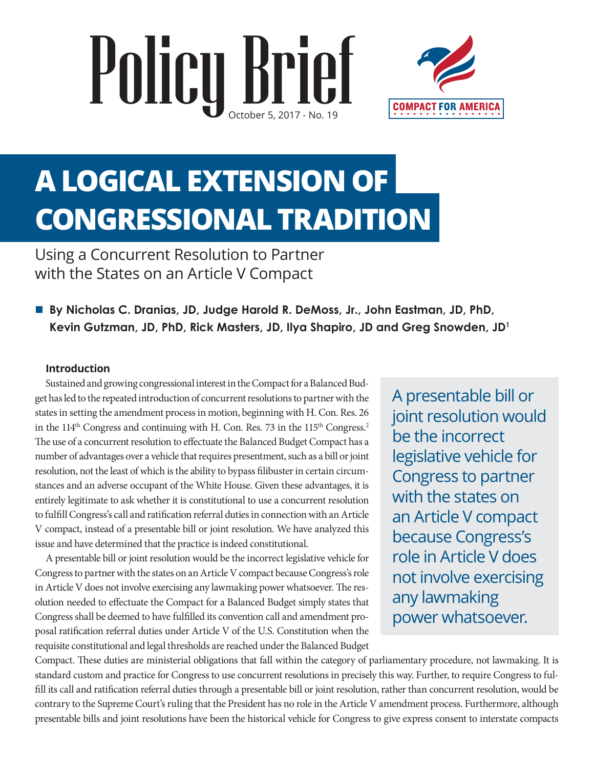# Policy Brief



# **A LOGICAL EXTENSION OF CONGRESSIONAL TRADITION**

Using a Concurrent Resolution to Partner with the States on an Article V Compact

■ By Nicholas C. Dranias, JD, Judge Harold R. DeMoss, Jr., John Eastman, JD, PhD, **Kevin Gutzman, JD, PhD, Rick Masters, JD, Ilya Shapiro, JD and Greg Snowden, JD1**

#### **Introduction**

Sustained and growing congressional interest in the Compact for a Balanced Budget has led to the repeated introduction of concurrent resolutions to partner with the states in setting the amendment process in motion, beginning with H. Con. Res. 26 in the  $114<sup>th</sup>$  Congress and continuing with H. Con. Res. 73 in the  $115<sup>th</sup>$  Congress.<sup>2</sup> The use of a concurrent resolution to effectuate the Balanced Budget Compact has a number of advantages over a vehicle that requires presentment, such as a bill or joint resolution, not the least of which is the ability to bypass filibuster in certain circumstances and an adverse occupant of the White House. Given these advantages, it is entirely legitimate to ask whether it is constitutional to use a concurrent resolution to fulfill Congress's call and ratification referral duties in connection with an Article V compact, instead of a presentable bill or joint resolution. We have analyzed this issue and have determined that the practice is indeed constitutional.

A presentable bill or joint resolution would be the incorrect legislative vehicle for Congress to partner with the states on an Article V compact because Congress's role in Article V does not involve exercising any lawmaking power whatsoever. The resolution needed to effectuate the Compact for a Balanced Budget simply states that Congress shall be deemed to have fulfilled its convention call and amendment proposal ratification referral duties under Article V of the U.S. Constitution when the requisite constitutional and legal thresholds are reached under the Balanced Budget

A presentable bill or joint resolution would be the incorrect legislative vehicle for Congress to partner with the states on an Article V compact because Congress's role in Article V does not involve exercising any lawmaking power whatsoever.

Compact. These duties are ministerial obligations that fall within the category of parliamentary procedure, not lawmaking. It is standard custom and practice for Congress to use concurrent resolutions in precisely this way. Further, to require Congress to fulfill its call and ratification referral duties through a presentable bill or joint resolution, rather than concurrent resolution, would be contrary to the Supreme Court's ruling that the President has no role in the Article V amendment process. Furthermore, although presentable bills and joint resolutions have been the historical vehicle for Congress to give express consent to interstate compacts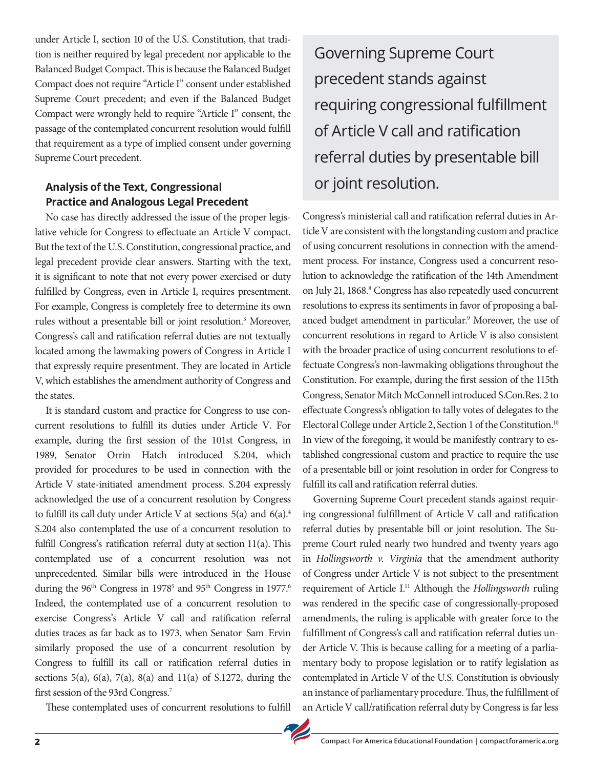under Article I, section 10 of the U.S. Constitution, that tradition is neither required by legal precedent nor applicable to the Balanced Budget Compact. This is because the Balanced Budget Compact does not require "Article I" consent under established Supreme Court precedent; and even if the Balanced Budget Compact were wrongly held to require "Article I" consent, the passage of the contemplated concurrent resolution would fulfill that requirement as a type of implied consent under governing Supreme Court precedent.

# **Analysis of the Text, Congressional Practice and Analogous Legal Precedent**

No case has directly addressed the issue of the proper legislative vehicle for Congress to effectuate an Article V compact. But the text of the U.S. Constitution, congressional practice, and legal precedent provide clear answers. Starting with the text, it is significant to note that not every power exercised or duty fulfilled by Congress, even in Article I, requires presentment. For example, Congress is completely free to determine its own rules without a presentable bill or joint resolution.<sup>3</sup> Moreover, Congress's call and ratification referral duties are not textually located among the lawmaking powers of Congress in Article I that expressly require presentment. They are located in Article V, which establishes the amendment authority of Congress and the states.

It is standard custom and practice for Congress to use concurrent resolutions to fulfill its duties under Article V. For example, during the first session of the 101st Congress, in 1989, Senator Orrin Hatch introduced S.204, which provided for procedures to be used in connection with the Article V state-initiated amendment process. S.204 expressly acknowledged the use of a concurrent resolution by Congress to fulfill its call duty under Article V at sections  $5(a)$  and  $6(a)$ .<sup>4</sup> S.204 also contemplated the use of a concurrent resolution to fulfill Congress's ratification referral duty at section 11(a). This contemplated use of a concurrent resolution was not unprecedented. Similar bills were introduced in the House during the 96<sup>th</sup> Congress in 1978<sup>5</sup> and 95<sup>th</sup> Congress in 1977.<sup>6</sup> Indeed, the contemplated use of a concurrent resolution to exercise Congress's Article V call and ratification referral duties traces as far back as to 1973, when Senator Sam Ervin similarly proposed the use of a concurrent resolution by Congress to fulfill its call or ratification referral duties in sections 5(a), 6(a), 7(a), 8(a) and 11(a) of S.1272, during the first session of the 93rd Congress.<sup>7</sup>

These contemplated uses of concurrent resolutions to fulfill

Governing Supreme Court precedent stands against requiring congressional fulfillment of Article V call and ratification referral duties by presentable bill or joint resolution.

Congress's ministerial call and ratification referral duties in Article V are consistent with the longstanding custom and practice of using concurrent resolutions in connection with the amendment process. For instance, Congress used a concurrent resolution to acknowledge the ratification of the 14th Amendment on July 21, 1868.<sup>8</sup> Congress has also repeatedly used concurrent resolutions to express its sentiments in favor of proposing a balanced budget amendment in particular.<sup>9</sup> Moreover, the use of concurrent resolutions in regard to Article V is also consistent with the broader practice of using concurrent resolutions to effectuate Congress's non-lawmaking obligations throughout the Constitution. For example, during the first session of the 115th Congress, Senator Mitch McConnell introduced S.Con.Res. 2 to effectuate Congress's obligation to tally votes of delegates to the Electoral College under Article 2, Section 1 of the Constitution.10 In view of the foregoing, it would be manifestly contrary to established congressional custom and practice to require the use of a presentable bill or joint resolution in order for Congress to fulfill its call and ratification referral duties.

Governing Supreme Court precedent stands against requiring congressional fulfillment of Article V call and ratification referral duties by presentable bill or joint resolution. The Supreme Court ruled nearly two hundred and twenty years ago in *Hollingsworth v. Virginia* that the amendment authority of Congress under Article V is not subject to the presentment requirement of Article I.11 Although the *Hollingsworth* ruling was rendered in the specific case of congressionally-proposed amendments, the ruling is applicable with greater force to the fulfillment of Congress's call and ratification referral duties under Article V. This is because calling for a meeting of a parliamentary body to propose legislation or to ratify legislation as contemplated in Article V of the U.S. Constitution is obviously an instance of parliamentary procedure. Thus, the fulfillment of an Article V call/ratification referral duty by Congress is far less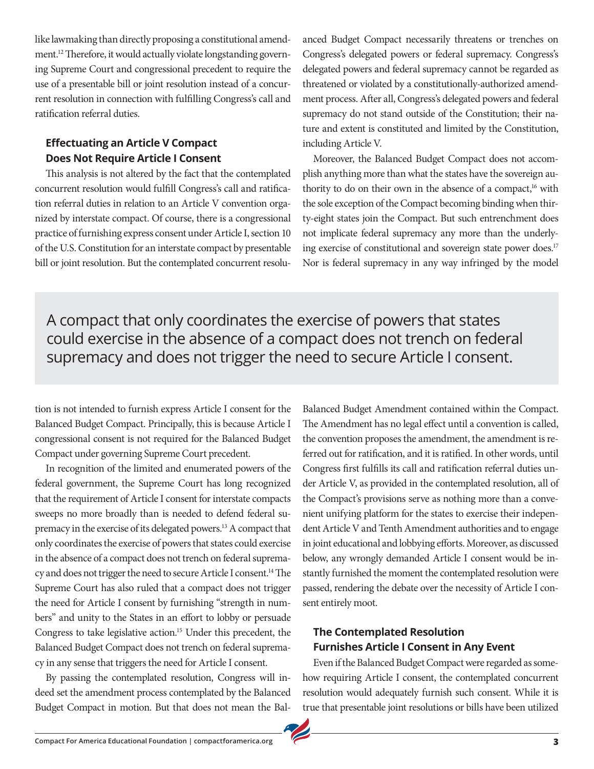like lawmaking than directly proposing a constitutional amendment.12 Therefore, it would actually violate longstanding governing Supreme Court and congressional precedent to require the use of a presentable bill or joint resolution instead of a concurrent resolution in connection with fulfilling Congress's call and ratification referral duties.

# **Effectuating an Article V Compact Does Not Require Article I Consent**

This analysis is not altered by the fact that the contemplated concurrent resolution would fulfill Congress's call and ratification referral duties in relation to an Article V convention organized by interstate compact. Of course, there is a congressional practice of furnishing express consent under Article I, section 10 of the U.S. Constitution for an interstate compact by presentable bill or joint resolution. But the contemplated concurrent resoluanced Budget Compact necessarily threatens or trenches on Congress's delegated powers or federal supremacy. Congress's delegated powers and federal supremacy cannot be regarded as threatened or violated by a constitutionally-authorized amendment process. After all, Congress's delegated powers and federal supremacy do not stand outside of the Constitution; their nature and extent is constituted and limited by the Constitution, including Article V.

Moreover, the Balanced Budget Compact does not accomplish anything more than what the states have the sovereign authority to do on their own in the absence of a compact,<sup>16</sup> with the sole exception of the Compact becoming binding when thirty-eight states join the Compact. But such entrenchment does not implicate federal supremacy any more than the underlying exercise of constitutional and sovereign state power does.<sup>17</sup> Nor is federal supremacy in any way infringed by the model

A compact that only coordinates the exercise of powers that states could exercise in the absence of a compact does not trench on federal supremacy and does not trigger the need to secure Article I consent.

tion is not intended to furnish express Article I consent for the Balanced Budget Compact. Principally, this is because Article I congressional consent is not required for the Balanced Budget Compact under governing Supreme Court precedent.

In recognition of the limited and enumerated powers of the federal government, the Supreme Court has long recognized that the requirement of Article I consent for interstate compacts sweeps no more broadly than is needed to defend federal supremacy in the exercise of its delegated powers.13 A compact that only coordinates the exercise of powers that states could exercise in the absence of a compact does not trench on federal supremacy and does not trigger the need to secure Article I consent.14 The Supreme Court has also ruled that a compact does not trigger the need for Article I consent by furnishing "strength in numbers" and unity to the States in an effort to lobby or persuade Congress to take legislative action.15 Under this precedent, the Balanced Budget Compact does not trench on federal supremacy in any sense that triggers the need for Article I consent.

By passing the contemplated resolution, Congress will indeed set the amendment process contemplated by the Balanced Budget Compact in motion. But that does not mean the Bal-

Balanced Budget Amendment contained within the Compact. The Amendment has no legal effect until a convention is called, the convention proposes the amendment, the amendment is referred out for ratification, and it is ratified. In other words, until Congress first fulfills its call and ratification referral duties under Article V, as provided in the contemplated resolution, all of the Compact's provisions serve as nothing more than a convenient unifying platform for the states to exercise their independent Article V and Tenth Amendment authorities and to engage in joint educational and lobbying efforts. Moreover, as discussed below, any wrongly demanded Article I consent would be instantly furnished the moment the contemplated resolution were passed, rendering the debate over the necessity of Article I consent entirely moot.

#### **The Contemplated Resolution Furnishes Article I Consent in Any Event**

Even if the Balanced Budget Compact were regarded as somehow requiring Article I consent, the contemplated concurrent resolution would adequately furnish such consent. While it is true that presentable joint resolutions or bills have been utilized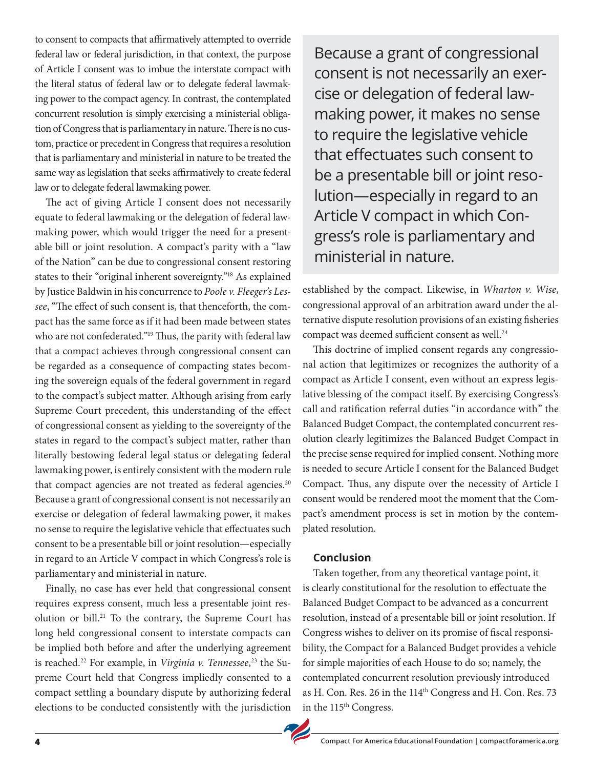to consent to compacts that affirmatively attempted to override federal law or federal jurisdiction, in that context, the purpose of Article I consent was to imbue the interstate compact with the literal status of federal law or to delegate federal lawmaking power to the compact agency. In contrast, the contemplated concurrent resolution is simply exercising a ministerial obligation of Congress that is parliamentary in nature. There is no custom, practice or precedent in Congress that requires a resolution that is parliamentary and ministerial in nature to be treated the same way as legislation that seeks affirmatively to create federal law or to delegate federal lawmaking power.

The act of giving Article I consent does not necessarily equate to federal lawmaking or the delegation of federal lawmaking power, which would trigger the need for a presentable bill or joint resolution. A compact's parity with a "law of the Nation" can be due to congressional consent restoring states to their "original inherent sovereignty."18 As explained by Justice Baldwin in his concurrence to *Poole v. Fleeger's Lessee*, "The effect of such consent is, that thenceforth, the compact has the same force as if it had been made between states who are not confederated."19 Thus, the parity with federal law that a compact achieves through congressional consent can be regarded as a consequence of compacting states becoming the sovereign equals of the federal government in regard to the compact's subject matter. Although arising from early Supreme Court precedent, this understanding of the effect of congressional consent as yielding to the sovereignty of the states in regard to the compact's subject matter, rather than literally bestowing federal legal status or delegating federal lawmaking power, is entirely consistent with the modern rule that compact agencies are not treated as federal agencies.<sup>20</sup> Because a grant of congressional consent is not necessarily an exercise or delegation of federal lawmaking power, it makes no sense to require the legislative vehicle that effectuates such consent to be a presentable bill or joint resolution—especially in regard to an Article V compact in which Congress's role is parliamentary and ministerial in nature.

Finally, no case has ever held that congressional consent requires express consent, much less a presentable joint resolution or bill.<sup>21</sup> To the contrary, the Supreme Court has long held congressional consent to interstate compacts can be implied both before and after the underlying agreement is reached.22 For example, in *Virginia v. Tennessee*, 23 the Supreme Court held that Congress impliedly consented to a compact settling a boundary dispute by authorizing federal elections to be conducted consistently with the jurisdiction

Because a grant of congressional consent is not necessarily an exercise or delegation of federal lawmaking power, it makes no sense to require the legislative vehicle that effectuates such consent to be a presentable bill or joint resolution—especially in regard to an Article V compact in which Congress's role is parliamentary and ministerial in nature.

established by the compact. Likewise, in *Wharton v. Wise*, congressional approval of an arbitration award under the alternative dispute resolution provisions of an existing fisheries compact was deemed sufficient consent as well.<sup>24</sup>

This doctrine of implied consent regards any congressional action that legitimizes or recognizes the authority of a compact as Article I consent, even without an express legislative blessing of the compact itself. By exercising Congress's call and ratification referral duties "in accordance with" the Balanced Budget Compact, the contemplated concurrent resolution clearly legitimizes the Balanced Budget Compact in the precise sense required for implied consent. Nothing more is needed to secure Article I consent for the Balanced Budget Compact. Thus, any dispute over the necessity of Article I consent would be rendered moot the moment that the Compact's amendment process is set in motion by the contemplated resolution.

#### **Conclusion**

Taken together, from any theoretical vantage point, it is clearly constitutional for the resolution to effectuate the Balanced Budget Compact to be advanced as a concurrent resolution, instead of a presentable bill or joint resolution. If Congress wishes to deliver on its promise of fiscal responsibility, the Compact for a Balanced Budget provides a vehicle for simple majorities of each House to do so; namely, the contemplated concurrent resolution previously introduced as H. Con. Res. 26 in the 114<sup>th</sup> Congress and H. Con. Res. 73 in the 115<sup>th</sup> Congress.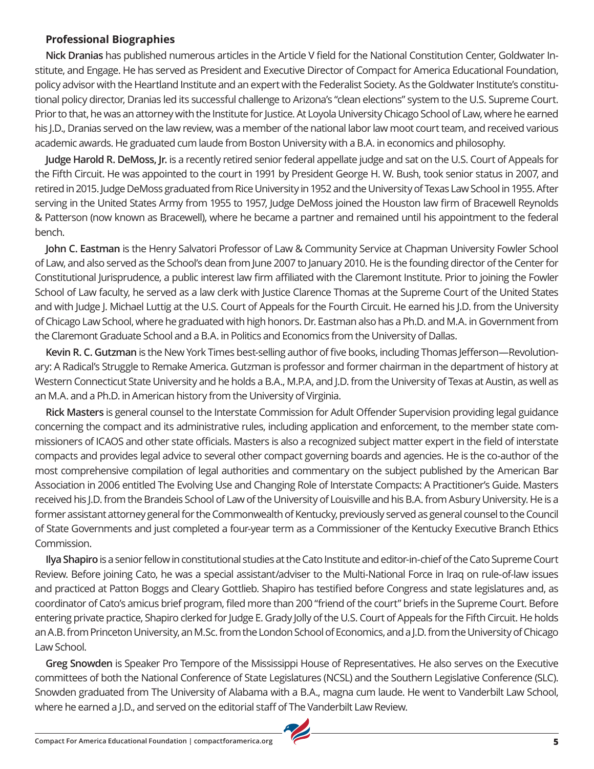#### **Professional Biographies**

**Nick Dranias** has published numerous articles in the Article V field for the National Constitution Center, Goldwater Institute, and Engage. He has served as President and Executive Director of Compact for America Educational Foundation, policy advisor with the Heartland Institute and an expert with the Federalist Society. As the Goldwater Institute's constitutional policy director, Dranias led its successful challenge to Arizona's "clean elections" system to the U.S. Supreme Court. Prior to that, he was an attorney with the Institute for Justice. At Loyola University Chicago School of Law, where he earned his J.D., Dranias served on the law review, was a member of the national labor law moot court team, and received various academic awards. He graduated cum laude from Boston University with a B.A. in economics and philosophy.

**Judge Harold R. DeMoss, Jr.** is a recently retired senior federal appellate judge and sat on the U.S. Court of Appeals for the Fifth Circuit. He was appointed to the court in 1991 by President George H. W. Bush, took senior status in 2007, and retired in 2015. Judge DeMoss graduated from Rice University in 1952 and the University of Texas Law School in 1955. After serving in the United States Army from 1955 to 1957, Judge DeMoss joined the Houston law firm of Bracewell Reynolds & Patterson (now known as Bracewell), where he became a partner and remained until his appointment to the federal bench.

**John C. Eastman** is the Henry Salvatori Professor of Law & Community Service at Chapman University Fowler School of Law, and also served as the School's dean from June 2007 to January 2010. He is the founding director of the Center for Constitutional Jurisprudence, a public interest law firm affiliated with the Claremont Institute. Prior to joining the Fowler School of Law faculty, he served as a law clerk with Justice Clarence Thomas at the Supreme Court of the United States and with Judge J. Michael Luttig at the U.S. Court of Appeals for the Fourth Circuit. He earned his J.D. from the University of Chicago Law School, where he graduated with high honors. Dr. Eastman also has a Ph.D. and M.A. in Government from the Claremont Graduate School and a B.A. in Politics and Economics from the University of Dallas.

**Kevin R. C. Gutzman** is the New York Times best-selling author of five books, including Thomas Jefferson—Revolutionary: A Radical's Struggle to Remake America. Gutzman is professor and former chairman in the department of history at Western Connecticut State University and he holds a B.A., M.P.A, and J.D. from the University of Texas at Austin, as well as an M.A. and a Ph.D. in American history from the University of Virginia.

**Rick Masters** is general counsel to the Interstate Commission for Adult Offender Supervision providing legal guidance concerning the compact and its administrative rules, including application and enforcement, to the member state commissioners of ICAOS and other state officials. Masters is also a recognized subject matter expert in the field of interstate compacts and provides legal advice to several other compact governing boards and agencies. He is the co-author of the most comprehensive compilation of legal authorities and commentary on the subject published by the American Bar Association in 2006 entitled The Evolving Use and Changing Role of Interstate Compacts: A Practitioner's Guide. Masters received his J.D. from the Brandeis School of Law of the University of Louisville and his B.A. from Asbury University. He is a former assistant attorney general for the Commonwealth of Kentucky, previously served as general counsel to the Council of State Governments and just completed a four-year term as a Commissioner of the Kentucky Executive Branch Ethics Commission.

**Ilya Shapiro** is a senior fellow in constitutional studies at the Cato Institute and editor-in-chief of the Cato Supreme Court Review. Before joining Cato, he was a special assistant/adviser to the Multi-National Force in Iraq on rule-of-law issues and practiced at Patton Boggs and Cleary Gottlieb. Shapiro has testified before Congress and state legislatures and, as coordinator of Cato's amicus brief program, filed more than 200 "friend of the court" briefs in the Supreme Court. Before entering private practice, Shapiro clerked for Judge E. Grady Jolly of the U.S. Court of Appeals for the Fifth Circuit. He holds an A.B. from Princeton University, an M.Sc. from the London School of Economics, and a J.D. from the University of Chicago Law School.

**Greg Snowden** is Speaker Pro Tempore of the Mississippi House of Representatives. He also serves on the Executive committees of both the National Conference of State Legislatures (NCSL) and the Southern Legislative Conference (SLC). Snowden graduated from The University of Alabama with a B.A., magna cum laude. He went to Vanderbilt Law School, where he earned a J.D., and served on the editorial staff of The Vanderbilt Law Review.

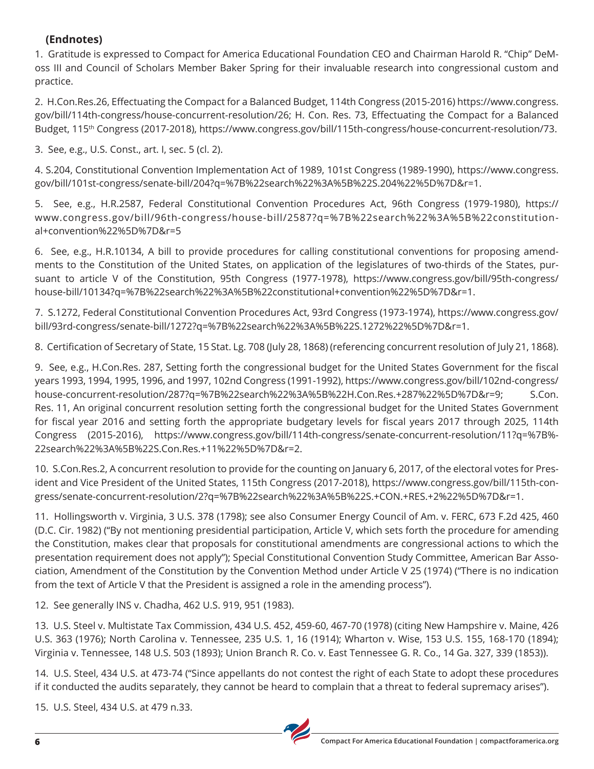# **(Endnotes)**

1. Gratitude is expressed to Compact for America Educational Foundation CEO and Chairman Harold R. "Chip" DeMoss III and Council of Scholars Member Baker Spring for their invaluable research into congressional custom and practice.

2. H.Con.Res.26, Effectuating the Compact for a Balanced Budget, 114th Congress (2015-2016) https://www.congress. gov/bill/114th-congress/house-concurrent-resolution/26; H. Con. Res. 73, Effectuating the Compact for a Balanced Budget, 115<sup>th</sup> Congress (2017-2018), https://www.congress.gov/bill/115th-congress/house-concurrent-resolution/73.

3. See, e.g., U.S. Const., art. I, sec. 5 (cl. 2).

4. S.204, Constitutional Convention Implementation Act of 1989, 101st Congress (1989-1990), https://www.congress. gov/bill/101st-congress/senate-bill/204?q=%7B%22search%22%3A%5B%22S.204%22%5D%7D&r=1.

5. See, e.g., H.R.2587, Federal Constitutional Convention Procedures Act, 96th Congress (1979-1980), https:// www.congress.gov/bill/96th-congress/house-bill/2587?q=%7B%22search%22%3A%5B%22constitutional+convention%22%5D%7D&r=5

6. See, e.g., H.R.10134, A bill to provide procedures for calling constitutional conventions for proposing amendments to the Constitution of the United States, on application of the legislatures of two-thirds of the States, pursuant to article V of the Constitution, 95th Congress (1977-1978), https://www.congress.gov/bill/95th-congress/ house-bill/10134?q=%7B%22search%22%3A%5B%22constitutional+convention%22%5D%7D&r=1.

7. S.1272, Federal Constitutional Convention Procedures Act, 93rd Congress (1973-1974), https://www.congress.gov/ bill/93rd-congress/senate-bill/1272?q=%7B%22search%22%3A%5B%22S.1272%22%5D%7D&r=1.

8. Certification of Secretary of State, 15 Stat. Lg. 708 (July 28, 1868) (referencing concurrent resolution of July 21, 1868).

9. See, e.g., H.Con.Res. 287, Setting forth the congressional budget for the United States Government for the fiscal years 1993, 1994, 1995, 1996, and 1997, 102nd Congress (1991-1992), https://www.congress.gov/bill/102nd-congress/ house-concurrent-resolution/287?q=%7B%22search%22%3A%5B%22H.Con.Res.+287%22%5D%7D&r=9; S.Con. Res. 11, An original concurrent resolution setting forth the congressional budget for the United States Government for fiscal year 2016 and setting forth the appropriate budgetary levels for fiscal years 2017 through 2025, 114th Congress (2015-2016), https://www.congress.gov/bill/114th-congress/senate-concurrent-resolution/11?q=%7B%- 22search%22%3A%5B%22S.Con.Res.+11%22%5D%7D&r=2.

10. S.Con.Res.2, A concurrent resolution to provide for the counting on January 6, 2017, of the electoral votes for President and Vice President of the United States, 115th Congress (2017-2018), https://www.congress.gov/bill/115th-congress/senate-concurrent-resolution/2?q=%7B%22search%22%3A%5B%22S.+CON.+RES.+2%22%5D%7D&r=1.

11. Hollingsworth v. Virginia, 3 U.S. 378 (1798); see also Consumer Energy Council of Am. v. FERC, 673 F.2d 425, 460 (D.C. Cir. 1982) ("By not mentioning presidential participation, Article V, which sets forth the procedure for amending the Constitution, makes clear that proposals for constitutional amendments are congressional actions to which the presentation requirement does not apply"); Special Constitutional Convention Study Committee, American Bar Association, Amendment of the Constitution by the Convention Method under Article V 25 (1974) ("There is no indication from the text of Article V that the President is assigned a role in the amending process").

12. See generally INS v. Chadha, 462 U.S. 919, 951 (1983).

13. U.S. Steel v. Multistate Tax Commission, 434 U.S. 452, 459-60, 467-70 (1978) (citing New Hampshire v. Maine, 426 U.S. 363 (1976); North Carolina v. Tennessee, 235 U.S. 1, 16 (1914); Wharton v. Wise, 153 U.S. 155, 168-170 (1894); Virginia v. Tennessee, 148 U.S. 503 (1893); Union Branch R. Co. v. East Tennessee G. R. Co., 14 Ga. 327, 339 (1853)).

14. U.S. Steel, 434 U.S. at 473-74 ("Since appellants do not contest the right of each State to adopt these procedures if it conducted the audits separately, they cannot be heard to complain that a threat to federal supremacy arises").

15. U.S. Steel, 434 U.S. at 479 n.33.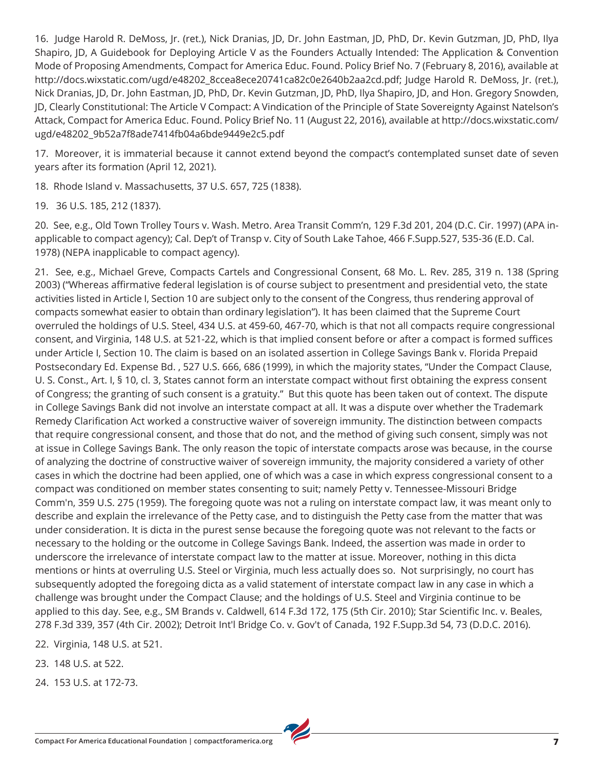16. Judge Harold R. DeMoss, Jr. (ret.), Nick Dranias, JD, Dr. John Eastman, JD, PhD, Dr. Kevin Gutzman, JD, PhD, Ilya Shapiro, JD, A Guidebook for Deploying Article V as the Founders Actually Intended: The Application & Convention Mode of Proposing Amendments, Compact for America Educ. Found. Policy Brief No. 7 (February 8, 2016), available at http://docs.wixstatic.com/ugd/e48202\_8ccea8ece20741ca82c0e2640b2aa2cd.pdf; Judge Harold R. DeMoss, Jr. (ret.), Nick Dranias, JD, Dr. John Eastman, JD, PhD, Dr. Kevin Gutzman, JD, PhD, Ilya Shapiro, JD, and Hon. Gregory Snowden, JD, Clearly Constitutional: The Article V Compact: A Vindication of the Principle of State Sovereignty Against Natelson's Attack, Compact for America Educ. Found. Policy Brief No. 11 (August 22, 2016), available at http://docs.wixstatic.com/ ugd/e48202\_9b52a7f8ade7414fb04a6bde9449e2c5.pdf

17. Moreover, it is immaterial because it cannot extend beyond the compact's contemplated sunset date of seven years after its formation (April 12, 2021).

18. Rhode Island v. Massachusetts, 37 U.S. 657, 725 (1838).

19. 36 U.S. 185, 212 (1837).

20. See, e.g., Old Town Trolley Tours v. Wash. Metro. Area Transit Comm'n, 129 F.3d 201, 204 (D.C. Cir. 1997) (APA inapplicable to compact agency); Cal. Dep't of Transp v. City of South Lake Tahoe, 466 F.Supp.527, 535-36 (E.D. Cal. 1978) (NEPA inapplicable to compact agency).

21. See, e.g., Michael Greve, Compacts Cartels and Congressional Consent, 68 Mo. L. Rev. 285, 319 n. 138 (Spring 2003) ("Whereas affirmative federal legislation is of course subject to presentment and presidential veto, the state activities listed in Article I, Section 10 are subject only to the consent of the Congress, thus rendering approval of compacts somewhat easier to obtain than ordinary legislation"). It has been claimed that the Supreme Court overruled the holdings of U.S. Steel, 434 U.S. at 459-60, 467-70, which is that not all compacts require congressional consent, and Virginia, 148 U.S. at 521-22, which is that implied consent before or after a compact is formed suffices under Article I, Section 10. The claim is based on an isolated assertion in College Savings Bank v. Florida Prepaid Postsecondary Ed. Expense Bd. , 527 U.S. 666, 686 (1999), in which the majority states, "Under the Compact Clause, U. S. Const., Art. I, § 10, cl. 3, States cannot form an interstate compact without first obtaining the express consent of Congress; the granting of such consent is a gratuity." But this quote has been taken out of context. The dispute in College Savings Bank did not involve an interstate compact at all. It was a dispute over whether the Trademark Remedy Clarification Act worked a constructive waiver of sovereign immunity. The distinction between compacts that require congressional consent, and those that do not, and the method of giving such consent, simply was not at issue in College Savings Bank. The only reason the topic of interstate compacts arose was because, in the course of analyzing the doctrine of constructive waiver of sovereign immunity, the majority considered a variety of other cases in which the doctrine had been applied, one of which was a case in which express congressional consent to a compact was conditioned on member states consenting to suit; namely Petty v. Tennessee-Missouri Bridge Comm'n, 359 U.S. 275 (1959). The foregoing quote was not a ruling on interstate compact law, it was meant only to describe and explain the irrelevance of the Petty case, and to distinguish the Petty case from the matter that was under consideration. It is dicta in the purest sense because the foregoing quote was not relevant to the facts or necessary to the holding or the outcome in College Savings Bank. Indeed, the assertion was made in order to underscore the irrelevance of interstate compact law to the matter at issue. Moreover, nothing in this dicta mentions or hints at overruling U.S. Steel or Virginia, much less actually does so. Not surprisingly, no court has subsequently adopted the foregoing dicta as a valid statement of interstate compact law in any case in which a challenge was brought under the Compact Clause; and the holdings of U.S. Steel and Virginia continue to be applied to this day. See, e.g., SM Brands v. Caldwell, 614 F.3d 172, 175 (5th Cir. 2010); Star Scientific Inc. v. Beales, 278 F.3d 339, 357 (4th Cir. 2002); Detroit Int'l Bridge Co. v. Gov't of Canada, 192 F.Supp.3d 54, 73 (D.D.C. 2016).

22. Virginia, 148 U.S. at 521.

23. 148 U.S. at 522.

24. 153 U.S. at 172-73.